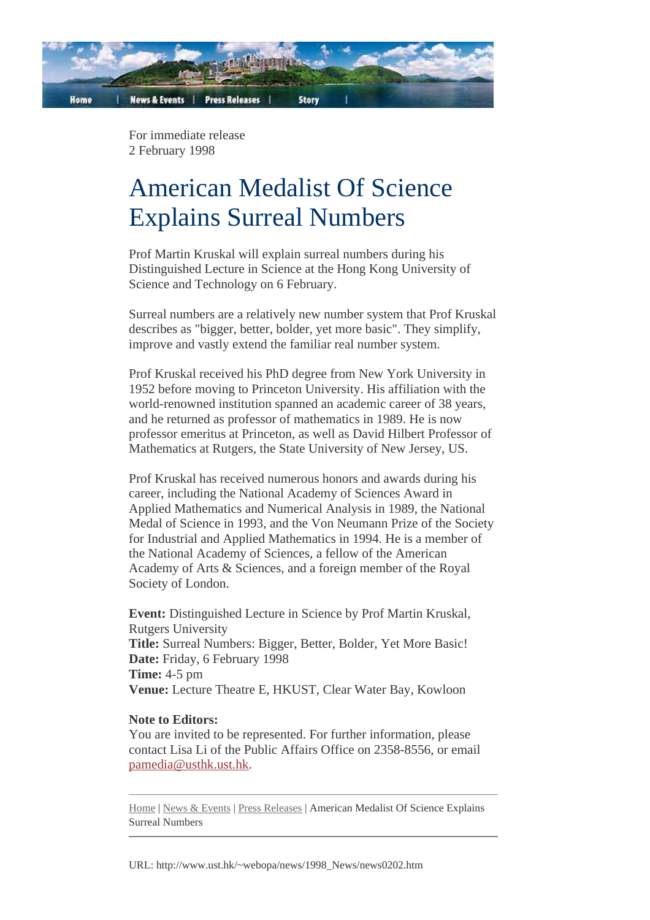

For immediate release 2 February 1998

## American Medalist Of Science Explains Surreal Numbers

Prof Martin Kruskal will explain surreal numbers during his Distinguished Lecture in Science at the Hong Kong University of Science and Technology on 6 February.

Surreal numbers are a relatively new number system that Prof Kruskal describes as "bigger, better, bolder, yet more basic". They simplify, improve and vastly extend the familiar real number system.

Prof Kruskal received his PhD degree from New York University in 1952 before moving to Princeton University. His affiliation with the world-renowned institution spanned an academic career of 38 years, and he returned as professor of mathematics in 1989. He is now professor emeritus at Princeton, as well as David Hilbert Professor of Mathematics at Rutgers, the State University of New Jersey, US.

Prof Kruskal has received numerous honors and awards during his career, including the National Academy of Sciences Award in Applied Mathematics and Numerical Analysis in 1989, the National Medal of Science in 1993, and the Von Neumann Prize of the Society for Industrial and Applied Mathematics in 1994. He is a member of the National Academy of Sciences, a fellow of the American Academy of Arts & Sciences, and a foreign member of the Royal Society of London.

**Event:** Distinguished Lecture in Science by Prof Martin Kruskal, Rutgers University **Title:** Surreal Numbers: Bigger, Better, Bolder, Yet More Basic! **Date:** Friday, 6 February 1998 **Time:** 4-5 pm **Venue:** Lecture Theatre E, HKUST, Clear Water Bay, Kowloon

## **Note to Editors:**

You are invited to be represented. For further information, please contact Lisa Li of the Public Affairs Office on 2358-8556, or email pamedia@usthk.ust.hk.

Home | News & Events | Press Releases | American Medalist Of Science Explains Surreal Numbers